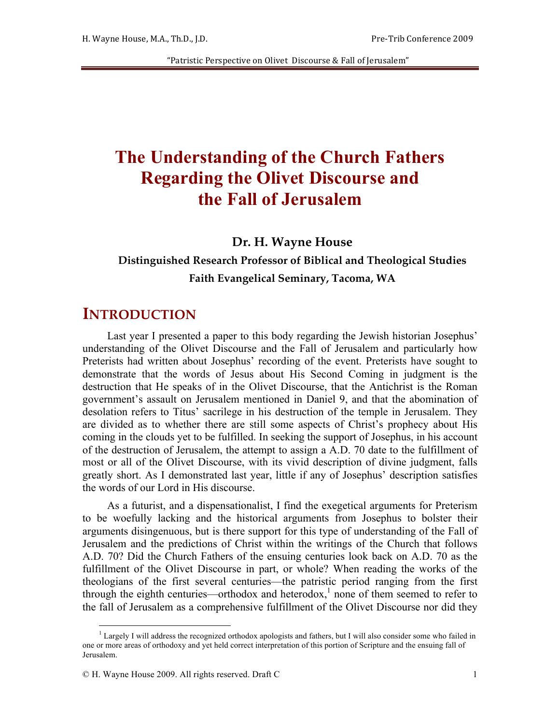# **The Understanding of the Church Fathers Regarding the Olivet Discourse and the Fall of Jerusalem**

## **Dr. H. Wayne House**

## **Distinguished Research Professor of Biblical and Theological Studies Faith Evangelical Seminary, Tacoma, WA**

## **INTRODUCTION**

Last year I presented a paper to this body regarding the Jewish historian Josephus' understanding of the Olivet Discourse and the Fall of Jerusalem and particularly how Preterists had written about Josephus' recording of the event. Preterists have sought to demonstrate that the words of Jesus about His Second Coming in judgment is the destruction that He speaks of in the Olivet Discourse, that the Antichrist is the Roman government's assault on Jerusalem mentioned in Daniel 9, and that the abomination of desolation refers to Titus' sacrilege in his destruction of the temple in Jerusalem. They are divided as to whether there are still some aspects of Christ's prophecy about His coming in the clouds yet to be fulfilled. In seeking the support of Josephus, in his account of the destruction of Jerusalem, the attempt to assign a A.D. 70 date to the fulfillment of most or all of the Olivet Discourse, with its vivid description of divine judgment, falls greatly short. As I demonstrated last year, little if any of Josephus' description satisfies the words of our Lord in His discourse.

As a futurist, and a dispensationalist, I find the exegetical arguments for Preterism to be woefully lacking and the historical arguments from Josephus to bolster their arguments disingenuous, but is there support for this type of understanding of the Fall of Jerusalem and the predictions of Christ within the writings of the Church that follows A.D. 70? Did the Church Fathers of the ensuing centuries look back on A.D. 70 as the fulfillment of the Olivet Discourse in part, or whole? When reading the works of the theologians of the first several centuries—the patristic period ranging from the first through the eighth centuries—orthodox and heterodox,<sup>1</sup> none of them seemed to refer to the fall of Jerusalem as a comprehensive fulfillment of the Olivet Discourse nor did they

 $\frac{1}{1}$  $\rm L$  Largely I will address the recognized orthodox apologists and fathers, but I will also consider some who failed in one or more areas of orthodoxy and yet held correct interpretation of this portion of Scripture and the ensuing fall of Jerusalem.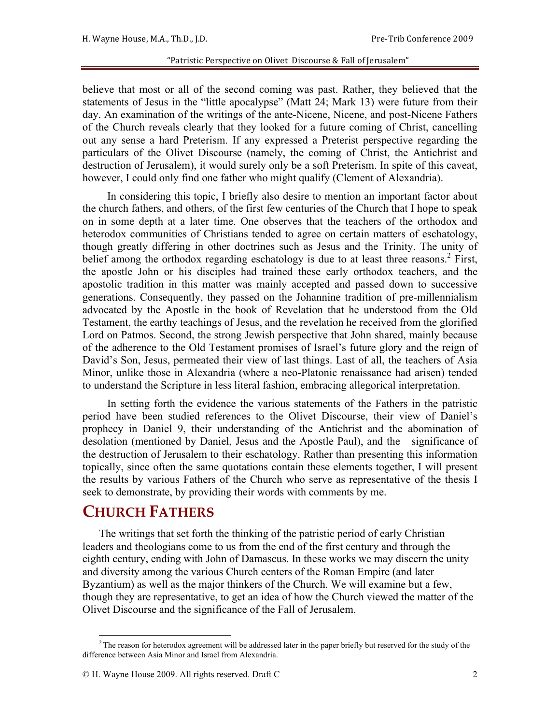believe that most or all of the second coming was past. Rather, they believed that the statements of Jesus in the "little apocalypse" (Matt 24; Mark 13) were future from their day. An examination of the writings of the ante-Nicene, Nicene, and post-Nicene Fathers of the Church reveals clearly that they looked for a future coming of Christ, cancelling out any sense a hard Preterism. If any expressed a Preterist perspective regarding the particulars of the Olivet Discourse (namely, the coming of Christ, the Antichrist and destruction of Jerusalem), it would surely only be a soft Preterism. In spite of this caveat, however, I could only find one father who might qualify (Clement of Alexandria).

In considering this topic, I briefly also desire to mention an important factor about the church fathers, and others, of the first few centuries of the Church that I hope to speak on in some depth at a later time. One observes that the teachers of the orthodox and heterodox communities of Christians tended to agree on certain matters of eschatology, though greatly differing in other doctrines such as Jesus and the Trinity. The unity of belief among the orthodox regarding eschatology is due to at least three reasons.<sup>2</sup> First, the apostle John or his disciples had trained these early orthodox teachers, and the apostolic tradition in this matter was mainly accepted and passed down to successive generations. Consequently, they passed on the Johannine tradition of pre-millennialism advocated by the Apostle in the book of Revelation that he understood from the Old Testament, the earthy teachings of Jesus, and the revelation he received from the glorified Lord on Patmos. Second, the strong Jewish perspective that John shared, mainly because of the adherence to the Old Testament promises of Israel's future glory and the reign of David's Son, Jesus, permeated their view of last things. Last of all, the teachers of Asia Minor, unlike those in Alexandria (where a neo-Platonic renaissance had arisen) tended to understand the Scripture in less literal fashion, embracing allegorical interpretation.

In setting forth the evidence the various statements of the Fathers in the patristic period have been studied references to the Olivet Discourse, their view of Daniel's prophecy in Daniel 9, their understanding of the Antichrist and the abomination of desolation (mentioned by Daniel, Jesus and the Apostle Paul), and the significance of the destruction of Jerusalem to their eschatology. Rather than presenting this information topically, since often the same quotations contain these elements together, I will present the results by various Fathers of the Church who serve as representative of the thesis I seek to demonstrate, by providing their words with comments by me.

## **CHURCH FATHERS**

The writings that set forth the thinking of the patristic period of early Christian leaders and theologians come to us from the end of the first century and through the eighth century, ending with John of Damascus. In these works we may discern the unity and diversity among the various Church centers of the Roman Empire (and later Byzantium) as well as the major thinkers of the Church. We will examine but a few, though they are representative, to get an idea of how the Church viewed the matter of the Olivet Discourse and the significance of the Fall of Jerusalem.

 $2$  The reason for heterodox agreement will be addressed later in the paper briefly but reserved for the study of the difference between Asia Minor and Israel from Alexandria.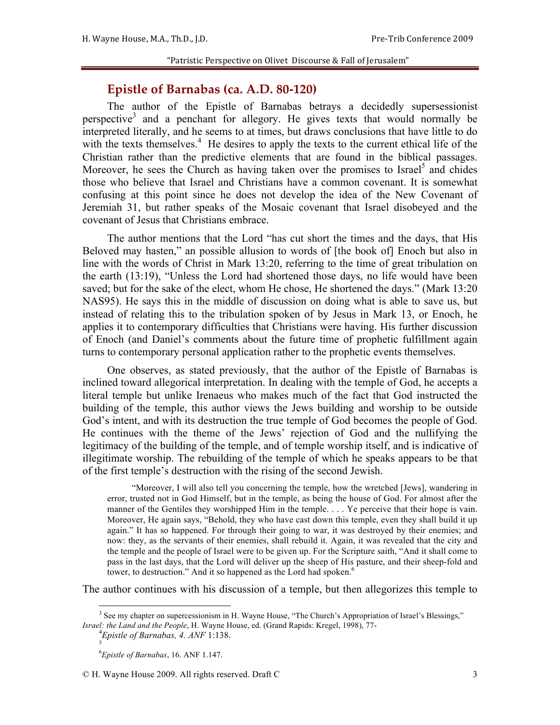## **Epistle of Barnabas (ca. A.D. 80-120)**

The author of the Epistle of Barnabas betrays a decidedly supersessionist perspective<sup>3</sup> and a penchant for allegory. He gives texts that would normally be interpreted literally, and he seems to at times, but draws conclusions that have little to do with the texts themselves.<sup>4</sup> He desires to apply the texts to the current ethical life of the Christian rather than the predictive elements that are found in the biblical passages. Moreover, he sees the Church as having taken over the promises to Israel<sup>5</sup> and chides those who believe that Israel and Christians have a common covenant. It is somewhat confusing at this point since he does not develop the idea of the New Covenant of Jeremiah 31, but rather speaks of the Mosaic covenant that Israel disobeyed and the covenant of Jesus that Christians embrace.

The author mentions that the Lord "has cut short the times and the days, that His Beloved may hasten," an possible allusion to words of [the book of] Enoch but also in line with the words of Christ in Mark 13:20, referring to the time of great tribulation on the earth (13:19), "Unless the Lord had shortened those days, no life would have been saved; but for the sake of the elect, whom He chose, He shortened the days." (Mark 13:20 NAS95). He says this in the middle of discussion on doing what is able to save us, but instead of relating this to the tribulation spoken of by Jesus in Mark 13, or Enoch, he applies it to contemporary difficulties that Christians were having. His further discussion of Enoch (and Daniel's comments about the future time of prophetic fulfillment again turns to contemporary personal application rather to the prophetic events themselves.

One observes, as stated previously, that the author of the Epistle of Barnabas is inclined toward allegorical interpretation. In dealing with the temple of God, he accepts a literal temple but unlike Irenaeus who makes much of the fact that God instructed the building of the temple, this author views the Jews building and worship to be outside God's intent, and with its destruction the true temple of God becomes the people of God. He continues with the theme of the Jews' rejection of God and the nullifying the legitimacy of the building of the temple, and of temple worship itself, and is indicative of illegitimate worship. The rebuilding of the temple of which he speaks appears to be that of the first temple's destruction with the rising of the second Jewish.

"Moreover, I will also tell you concerning the temple, how the wretched [Jews], wandering in error, trusted not in God Himself, but in the temple, as being the house of God. For almost after the manner of the Gentiles they worshipped Him in the temple. . . . Ye perceive that their hope is vain. Moreover, He again says, "Behold, they who have cast down this temple, even they shall build it up again." It has so happened. For through their going to war, it was destroyed by their enemies; and now: they, as the servants of their enemies, shall rebuild it. Again, it was revealed that the city and the temple and the people of Israel were to be given up. For the Scripture saith, "And it shall come to pass in the last days, that the Lord will deliver up the sheep of His pasture, and their sheep-fold and tower, to destruction." And it so happened as the Lord had spoken.<sup>6</sup>

The author continues with his discussion of a temple, but then allegorizes this temple to

© H. Wayne House 2009. All rights reserved. Draft C 3

 $\frac{1}{3}$ <sup>3</sup> See my chapter on supercessionism in H. Wayne House, "The Church's Appropriation of Israel's Blessings," *Israel: the Land and the People*, H. Wayne House, ed. (Grand Rapids: Kregel, 1998), 77-

*Epistle of Barnabas, 4. ANF* 1:138. <sup>5</sup>

<sup>6</sup> *Epistle of Barnabas*, 16. ANF 1.147.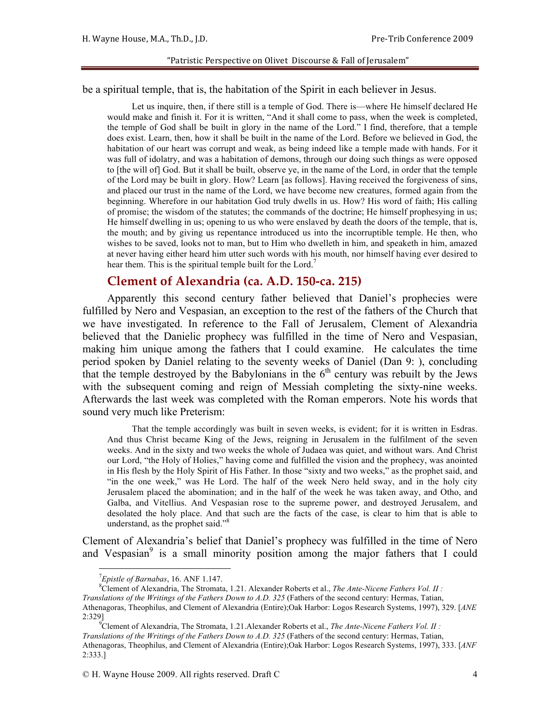be a spiritual temple, that is, the habitation of the Spirit in each believer in Jesus.

Let us inquire, then, if there still is a temple of God. There is—where He himself declared He would make and finish it. For it is written, "And it shall come to pass, when the week is completed, the temple of God shall be built in glory in the name of the Lord." I find, therefore, that a temple does exist. Learn, then, how it shall be built in the name of the Lord. Before we believed in God, the habitation of our heart was corrupt and weak, as being indeed like a temple made with hands. For it was full of idolatry, and was a habitation of demons, through our doing such things as were opposed to [the will of] God. But it shall be built, observe ye, in the name of the Lord, in order that the temple of the Lord may be built in glory. How? Learn [as follows]. Having received the forgiveness of sins, and placed our trust in the name of the Lord, we have become new creatures, formed again from the beginning. Wherefore in our habitation God truly dwells in us. How? His word of faith; His calling of promise; the wisdom of the statutes; the commands of the doctrine; He himself prophesying in us; He himself dwelling in us; opening to us who were enslaved by death the doors of the temple, that is, the mouth; and by giving us repentance introduced us into the incorruptible temple. He then, who wishes to be saved, looks not to man, but to Him who dwelleth in him, and speaketh in him, amazed at never having either heard him utter such words with his mouth, nor himself having ever desired to hear them. This is the spiritual temple built for the Lord.<sup>7</sup>

### **Clement of Alexandria (ca. A.D. 150-ca. 215)**

Apparently this second century father believed that Daniel's prophecies were fulfilled by Nero and Vespasian, an exception to the rest of the fathers of the Church that we have investigated. In reference to the Fall of Jerusalem, Clement of Alexandria believed that the Danielic prophecy was fulfilled in the time of Nero and Vespasian, making him unique among the fathers that I could examine. He calculates the time period spoken by Daniel relating to the seventy weeks of Daniel (Dan 9: ), concluding that the temple destroyed by the Babylonians in the  $6<sup>th</sup>$  century was rebuilt by the Jews with the subsequent coming and reign of Messiah completing the sixty-nine weeks. Afterwards the last week was completed with the Roman emperors. Note his words that sound very much like Preterism:

That the temple accordingly was built in seven weeks, is evident; for it is written in Esdras. And thus Christ became King of the Jews, reigning in Jerusalem in the fulfilment of the seven weeks. And in the sixty and two weeks the whole of Judaea was quiet, and without wars. And Christ our Lord, "the Holy of Holies," having come and fulfilled the vision and the prophecy, was anointed in His flesh by the Holy Spirit of His Father. In those "sixty and two weeks," as the prophet said, and "in the one week," was He Lord. The half of the week Nero held sway, and in the holy city Jerusalem placed the abomination; and in the half of the week he was taken away, and Otho, and Galba, and Vitellius. And Vespasian rose to the supreme power, and destroyed Jerusalem, and desolated the holy place. And that such are the facts of the case, is clear to him that is able to understand, as the prophet said." 8

Clement of Alexandria's belief that Daniel's prophecy was fulfilled in the time of Nero and Vespasian $9$  is a small minority position among the major fathers that I could

9 Clement of Alexandria, The Stromata, 1.21.Alexander Roberts et al., *The Ante-Nicene Fathers Vol. II : Translations of the Writings of the Fathers Down to A.D. 325* (Fathers of the second century: Hermas, Tatian, Athenagoras, Theophilus, and Clement of Alexandria (Entire);Oak Harbor: Logos Research Systems, 1997), 333. [*ANF*  2:333.]

© H. Wayne House 2009. All rights reserved. Draft C 4

 $\frac{1}{7}$  $^7$ *Epistle of Barnabas*, 16. ANF 1.147.

<sup>&</sup>lt;sup>8</sup>Clement of Alexandria, The Stromata, 1.21. Alexander Roberts et al., *The Ante-Nicene Fathers Vol. II : Translations of the Writings of the Fathers Down to A.D. 325* (Fathers of the second century: Hermas, Tatian, Athenagoras, Theophilus, and Clement of Alexandria (Entire);Oak Harbor: Logos Research Systems, 1997), 329. [*ANE* 2:329]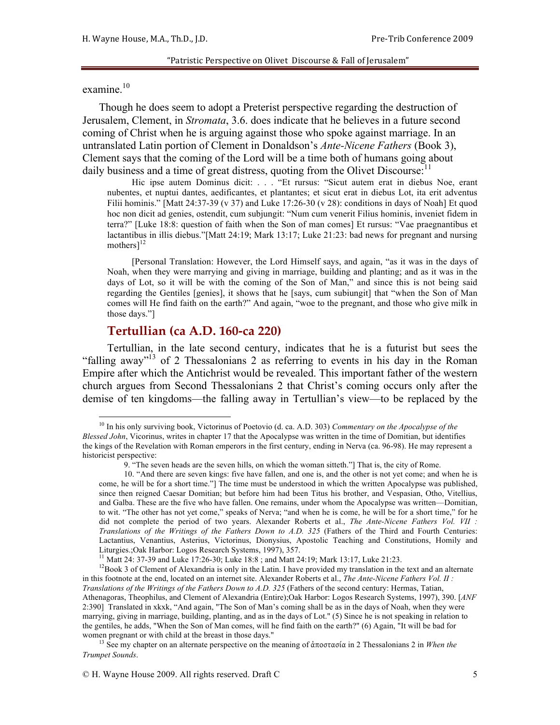## examine.<sup>10</sup>

Though he does seem to adopt a Preterist perspective regarding the destruction of Jerusalem, Clement, in *Stromata*, 3.6. does indicate that he believes in a future second coming of Christ when he is arguing against those who spoke against marriage. In an untranslated Latin portion of Clement in Donaldson's *Ante-Nicene Fathers* (Book 3), Clement says that the coming of the Lord will be a time both of humans going about daily business and a time of great distress, quoting from the Olivet Discourse.<sup>11</sup>

Hic ipse autem Dominus dicit: . . . "Et rursus: "Sicut autem erat in diebus Noe, erant nubentes, et nuptui dantes, aedificantes, et plantantes; et sicut erat in diebus Lot, ita erit adventus Filii hominis." [Matt 24:37-39 (v 37) and Luke 17:26-30 (v 28): conditions in days of Noah] Et quod hoc non dicit ad genies, ostendit, cum subjungit: "Num cum venerit Filius hominis, inveniet fidem in terra?" [Luke 18:8: question of faith when the Son of man comes] Et rursus: "Vae praegnantibus et lactantibus in illis diebus."[Matt 24:19; Mark 13:17; Luke 21:23: bad news for pregnant and nursing mothers $]^{12}$ 

[Personal Translation: However, the Lord Himself says, and again, "as it was in the days of Noah, when they were marrying and giving in marriage, building and planting; and as it was in the days of Lot, so it will be with the coming of the Son of Man," and since this is not being said regarding the Gentiles [genies], it shows that he [says, cum subiungit] that "when the Son of Man comes will He find faith on the earth?" And again, "woe to the pregnant, and those who give milk in those days."]

#### **Tertullian (ca A.D. 160-ca 220)**

Tertullian, in the late second century, indicates that he is a futurist but sees the "falling away"<sup>13</sup> of 2 Thessalonians 2 as referring to events in his day in the Roman Empire after which the Antichrist would be revealed. This important father of the western church argues from Second Thessalonians 2 that Christ's coming occurs only after the demise of ten kingdoms—the falling away in Tertullian's view—to be replaced by the

 <sup>10</sup> In his only surviving book, Victorinus of Poetovio (d. ca. A.D. 303) *Commentary on the Apocalypse of the Blessed John*, Vicorinus, writes in chapter 17 that the Apocalypse was written in the time of Domitian, but identifies the kings of the Revelation with Roman emperors in the first century, ending in Nerva (ca. 96-98). He may represent a historicist perspective:

<sup>9. &</sup>quot;The seven heads are the seven hills, on which the woman sitteth."] That is, the city of Rome.

<sup>10. &</sup>quot;And there are seven kings: five have fallen, and one is, and the other is not yet come; and when he is come, he will be for a short time."] The time must be understood in which the written Apocalypse was published, since then reigned Caesar Domitian; but before him had been Titus his brother, and Vespasian, Otho, Vitellius, and Galba. These are the five who have fallen. One remains, under whom the Apocalypse was written—Domitian, to wit. "The other has not yet come," speaks of Nerva; "and when he is come, he will be for a short time," for he did not complete the period of two years. Alexander Roberts et al., *The Ante-Nicene Fathers Vol. VII : Translations of the Writings of the Fathers Down to A.D. 325* (Fathers of the Third and Fourth Centuries: Lactantius, Venantius, Asterius, Victorinus, Dionysius, Apostolic Teaching and Constitutions, Homily and Liturgies. Oak Harbor: Logos Research Systems, 1997), 357.

<sup>&</sup>lt;sup>11</sup> Matt 24: 37-39 and Luke 17:26-30; Luke 18:8; and Matt 24:19; Mark 13:17, Luke 21:23.<br><sup>12</sup>Book 3 of Clement of Alexandria is only in the Latin. I have provided my translation in the text and an alternate in this footnote at the end, located on an internet site. Alexander Roberts et al., *The Ante-Nicene Fathers Vol. II : Translations of the Writings of the Fathers Down to A.D. 325* (Fathers of the second century: Hermas, Tatian, Athenagoras, Theophilus, and Clement of Alexandria (Entire);Oak Harbor: Logos Research Systems, 1997), 390. [*ANF* 2:390] Translated in xkxk, "And again, "The Son of Man's coming shall be as in the days of Noah, when they were marrying, giving in marriage, building, planting, and as in the days of Lot." (5) Since he is not speaking in relation to the gentiles, he adds, "When the Son of Man comes, will he find faith on the earth?" (6) Again, "It will be bad for women pregnant or with child at the breast in those days."<br><sup>13</sup> See my chapter on an alternate perspective on the meaning of ἀποστασία in 2 Thessalonians 2 in *When the* 

*Trumpet Sounds*.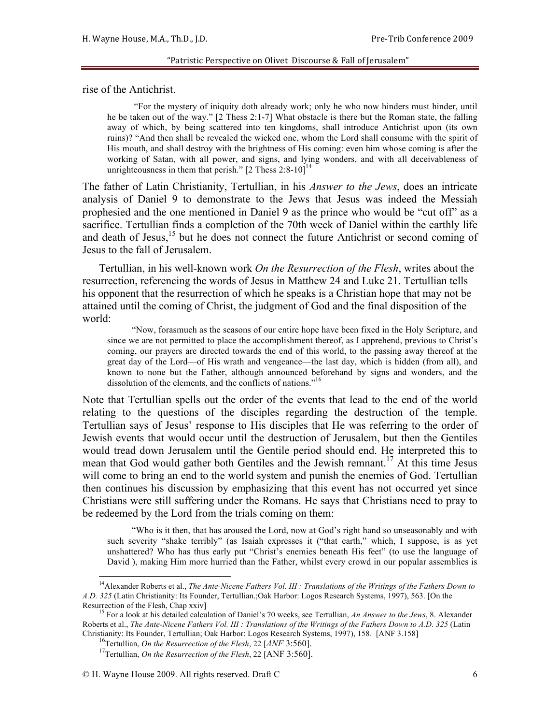rise of the Antichrist.

 "For the mystery of iniquity doth already work; only he who now hinders must hinder, until he be taken out of the way." [2 Thess 2:1-7] What obstacle is there but the Roman state, the falling away of which, by being scattered into ten kingdoms, shall introduce Antichrist upon (its own ruins)? "And then shall be revealed the wicked one, whom the Lord shall consume with the spirit of His mouth, and shall destroy with the brightness of His coming: even him whose coming is after the working of Satan, with all power, and signs, and lying wonders, and with all deceivableness of unrighteousness in them that perish."  $[2$  Thess 2:8-10]<sup>14</sup>

The father of Latin Christianity, Tertullian, in his *Answer to the Jews*, does an intricate analysis of Daniel 9 to demonstrate to the Jews that Jesus was indeed the Messiah prophesied and the one mentioned in Daniel 9 as the prince who would be "cut off" as a sacrifice. Tertullian finds a completion of the 70th week of Daniel within the earthly life and death of Jesus,<sup>15</sup> but he does not connect the future Antichrist or second coming of Jesus to the fall of Jerusalem.

Tertullian, in his well-known work *On the Resurrection of the Flesh*, writes about the resurrection, referencing the words of Jesus in Matthew 24 and Luke 21. Tertullian tells his opponent that the resurrection of which he speaks is a Christian hope that may not be attained until the coming of Christ, the judgment of God and the final disposition of the world:

"Now, forasmuch as the seasons of our entire hope have been fixed in the Holy Scripture, and since we are not permitted to place the accomplishment thereof, as I apprehend, previous to Christ's coming, our prayers are directed towards the end of this world, to the passing away thereof at the great day of the Lord—of His wrath and vengeance—the last day, which is hidden (from all), and known to none but the Father, although announced beforehand by signs and wonders, and the dissolution of the elements, and the conflicts of nations."<sup>16</sup>

Note that Tertullian spells out the order of the events that lead to the end of the world relating to the questions of the disciples regarding the destruction of the temple. Tertullian says of Jesus' response to His disciples that He was referring to the order of Jewish events that would occur until the destruction of Jerusalem, but then the Gentiles would tread down Jerusalem until the Gentile period should end. He interpreted this to mean that God would gather both Gentiles and the Jewish remnant.<sup>17</sup> At this time Jesus will come to bring an end to the world system and punish the enemies of God. Tertullian then continues his discussion by emphasizing that this event has not occurred yet since Christians were still suffering under the Romans. He says that Christians need to pray to be redeemed by the Lord from the trials coming on them:

"Who is it then, that has aroused the Lord, now at God's right hand so unseasonably and with such severity "shake terribly" (as Isaiah expresses it ("that earth," which, I suppose, is as yet unshattered? Who has thus early put "Christ's enemies beneath His feet" (to use the language of David ), making Him more hurried than the Father, whilst every crowd in our popular assemblies is

<sup>&</sup>lt;sup>14</sup> Alexander Roberts et al., *The Ante-Nicene Fathers Vol. III : Translations of the Writings of the Fathers Down to A.D. 325* (Latin Christianity: Its Founder, Tertullian.;Oak Harbor: Logos Research Systems, 1997), 563. [On the

<sup>&</sup>lt;sup>15</sup> For a look at his detailed calculation of Daniel's 70 weeks, see Tertullian, *An Answer to the Jews*, 8. Alexander Roberts et al., *The Ante-Nicene Fathers Vol. III : Translations of the Writings of the Fathers Down to A.D. 325* (Latin Christianity: Its Founder, Tertullian; Oak Harbor: Logos Research Systems, 1997), 158. [ANF 3.158]<br><sup>16</sup>Tertullian, *On the Resurrection of the Flesh*, 22 [*ANF* 3:560].<br><sup>17</sup>Tertullian, *On the Resurrection of the Flesh*, 2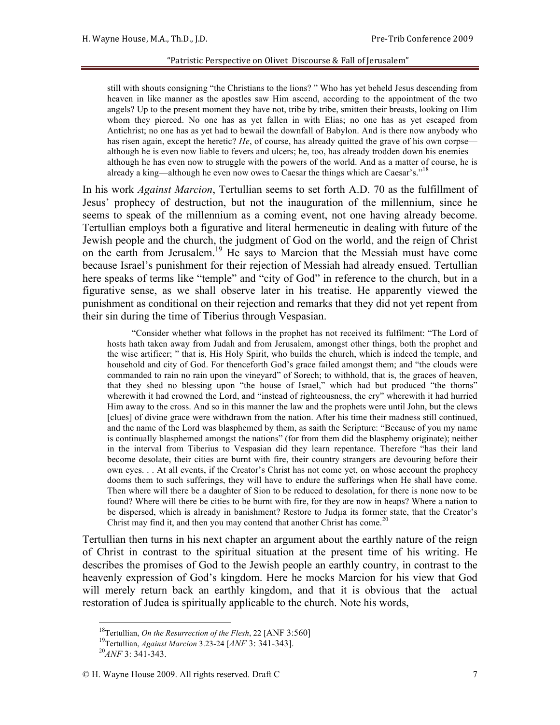still with shouts consigning "the Christians to the lions? " Who has yet beheld Jesus descending from heaven in like manner as the apostles saw Him ascend, according to the appointment of the two angels? Up to the present moment they have not, tribe by tribe, smitten their breasts, looking on Him whom they pierced. No one has as yet fallen in with Elias; no one has as yet escaped from Antichrist; no one has as yet had to bewail the downfall of Babylon. And is there now anybody who has risen again, except the heretic? *He*, of course, has already quitted the grave of his own corpse although he is even now liable to fevers and ulcers; he, too, has already trodden down his enemies although he has even now to struggle with the powers of the world. And as a matter of course, he is already a king—although he even now owes to Caesar the things which are Caesar's."<sup>18</sup>

In his work *Against Marcion*, Tertullian seems to set forth A.D. 70 as the fulfillment of Jesus' prophecy of destruction, but not the inauguration of the millennium, since he seems to speak of the millennium as a coming event, not one having already become. Tertullian employs both a figurative and literal hermeneutic in dealing with future of the Jewish people and the church, the judgment of God on the world, and the reign of Christ on the earth from Jerusalem.19 He says to Marcion that the Messiah must have come because Israel's punishment for their rejection of Messiah had already ensued. Tertullian here speaks of terms like "temple" and "city of God" in reference to the church, but in a figurative sense, as we shall observe later in his treatise. He apparently viewed the punishment as conditional on their rejection and remarks that they did not yet repent from their sin during the time of Tiberius through Vespasian.

"Consider whether what follows in the prophet has not received its fulfilment: "The Lord of hosts hath taken away from Judah and from Jerusalem, amongst other things, both the prophet and the wise artificer; " that is, His Holy Spirit, who builds the church, which is indeed the temple, and household and city of God. For thenceforth God's grace failed amongst them; and "the clouds were commanded to rain no rain upon the vineyard" of Sorech; to withhold, that is, the graces of heaven, that they shed no blessing upon "the house of Israel," which had but produced "the thorns" wherewith it had crowned the Lord, and "instead of righteousness, the cry" wherewith it had hurried Him away to the cross. And so in this manner the law and the prophets were until John, but the clews [clues] of divine grace were withdrawn from the nation. After his time their madness still continued, and the name of the Lord was blasphemed by them, as saith the Scripture: "Because of you my name is continually blasphemed amongst the nations" (for from them did the blasphemy originate); neither in the interval from Tiberius to Vespasian did they learn repentance. Therefore "has their land become desolate, their cities are burnt with fire, their country strangers are devouring before their own eyes. . . At all events, if the Creator's Christ has not come yet, on whose account the prophecy dooms them to such sufferings, they will have to endure the sufferings when He shall have come. Then where will there be a daughter of Sion to be reduced to desolation, for there is none now to be found? Where will there be cities to be burnt with fire, for they are now in heaps? Where a nation to be dispersed, which is already in banishment? Restore to Judµa its former state, that the Creator's Christ may find it, and then you may contend that another Christ has come.<sup>20</sup>

Tertullian then turns in his next chapter an argument about the earthly nature of the reign of Christ in contrast to the spiritual situation at the present time of his writing. He describes the promises of God to the Jewish people an earthly country, in contrast to the heavenly expression of God's kingdom. Here he mocks Marcion for his view that God will merely return back an earthly kingdom, and that it is obvious that the actual restoration of Judea is spiritually applicable to the church. Note his words,

<sup>&</sup>lt;sup>18</sup>Tertullian, *On the Resurrection of the Flesh*, 22 [ANF 3:560]<br><sup>19</sup>Tertullian, *Against Marcion* 3.23-24 [*ANF* 3: 341-343].<br><sup>20</sup>*ANF* 3: 341-343.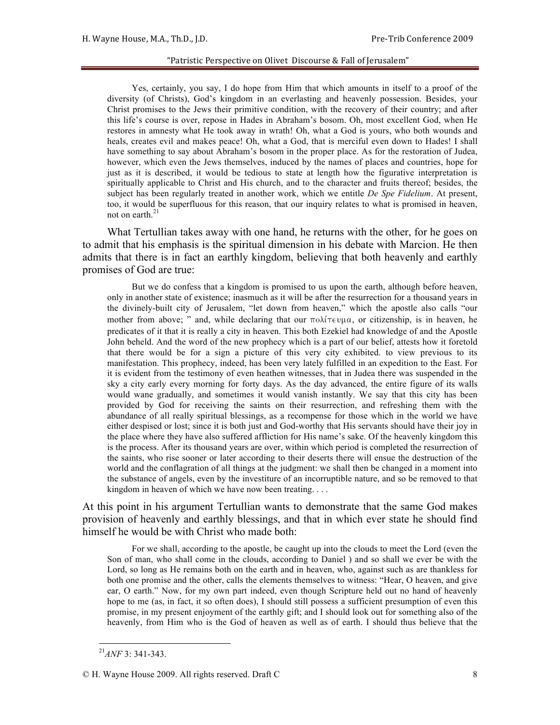Yes, certainly, you say, I do hope from Him that which amounts in itself to a proof of the diversity (of Christs), God's kingdom in an everlasting and heavenly possession. Besides, your Christ promises to the Jews their primitive condition, with the recovery of their country; and after this life's course is over, repose in Hades in Abraham's bosom. Oh, most excellent God, when He restores in amnesty what He took away in wrath! Oh, what a God is yours, who both wounds and heals, creates evil and makes peace! Oh, what a God, that is merciful even down to Hades! I shall have something to say about Abraham's bosom in the proper place. As for the restoration of Judea, however, which even the Jews themselves, induced by the names of places and countries, hope for just as it is described, it would be tedious to state at length how the figurative interpretation is spiritually applicable to Christ and His church, and to the character and fruits thereof; besides, the subject has been regularly treated in another work, which we entitle *De Spe Fidelium*. At present, too, it would be superfluous for this reason, that our inquiry relates to what is promised in heaven, not on earth. $21$ 

What Tertullian takes away with one hand, he returns with the other, for he goes on to admit that his emphasis is the spiritual dimension in his debate with Marcion. He then admits that there is in fact an earthly kingdom, believing that both heavenly and earthly promises of God are true:

But we do confess that a kingdom is promised to us upon the earth, although before heaven, only in another state of existence; inasmuch as it will be after the resurrection for a thousand years in the divinely-built city of Jerusalem, "let down from heaven," which the apostle also calls "our mother from above; " and, while declaring that our  $\pi$ o $\lambda$  ( $\tau \in \mathcal{W}$ ) are citizenship, is in heaven, he predicates of it that it is really a city in heaven. This both Ezekiel had knowledge of and the Apostle John beheld. And the word of the new prophecy which is a part of our belief, attests how it foretold that there would be for a sign a picture of this very city exhibited. to view previous to its manifestation. This prophecy, indeed, has been very lately fulfilled in an expedition to the East. For it is evident from the testimony of even heathen witnesses, that in Judea there was suspended in the sky a city early every morning for forty days. As the day advanced, the entire figure of its walls would wane gradually, and sometimes it would vanish instantly. We say that this city has been provided by God for receiving the saints on their resurrection, and refreshing them with the abundance of all really spiritual blessings, as a recompense for those which in the world we have either despised or lost; since it is both just and God-worthy that His servants should have their joy in the place where they have also suffered affliction for His name's sake. Of the heavenly kingdom this is the process. After its thousand years are over, within which period is completed the resurrection of the saints, who rise sooner or later according to their deserts there will ensue the destruction of the world and the conflagration of all things at the judgment: we shall then be changed in a moment into the substance of angels, even by the investiture of an incorruptible nature, and so be removed to that kingdom in heaven of which we have now been treating. . . .

At this point in his argument Tertullian wants to demonstrate that the same God makes provision of heavenly and earthly blessings, and that in which ever state he should find himself he would be with Christ who made both:

For we shall, according to the apostle, be caught up into the clouds to meet the Lord (even the Son of man, who shall come in the clouds, according to Daniel ) and so shall we ever be with the Lord, so long as He remains both on the earth and in heaven, who, against such as are thankless for both one promise and the other, calls the elements themselves to witness: "Hear, O heaven, and give ear, O earth." Now, for my own part indeed, even though Scripture held out no hand of heavenly hope to me (as, in fact, it so often does), I should still possess a sufficient presumption of even this promise, in my present enjoyment of the earthly gift; and I should look out for something also of the heavenly, from Him who is the God of heaven as well as of earth. I should thus believe that the

 <sup>21</sup>*ANF* 3: 341-343.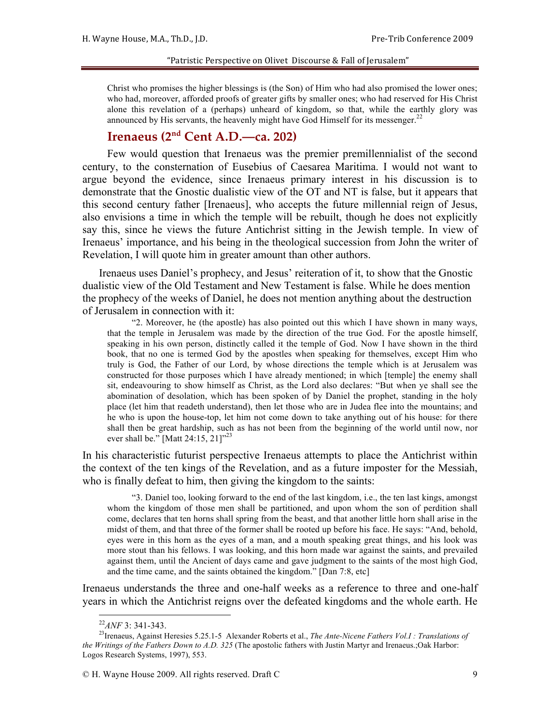Christ who promises the higher blessings is (the Son) of Him who had also promised the lower ones; who had, moreover, afforded proofs of greater gifts by smaller ones; who had reserved for His Christ alone this revelation of a (perhaps) unheard of kingdom, so that, while the earthly glory was announced by His servants, the heavenly might have God Himself for its messenger. $^{22}$ 

## **Irenaeus (2nd Cent A.D.—ca. 202)**

Few would question that Irenaeus was the premier premillennialist of the second century, to the consternation of Eusebius of Caesarea Maritima. I would not want to argue beyond the evidence, since Irenaeus primary interest in his discussion is to demonstrate that the Gnostic dualistic view of the OT and NT is false, but it appears that this second century father [Irenaeus], who accepts the future millennial reign of Jesus, also envisions a time in which the temple will be rebuilt, though he does not explicitly say this, since he views the future Antichrist sitting in the Jewish temple. In view of Irenaeus' importance, and his being in the theological succession from John the writer of Revelation, I will quote him in greater amount than other authors.

Irenaeus uses Daniel's prophecy, and Jesus' reiteration of it, to show that the Gnostic dualistic view of the Old Testament and New Testament is false. While he does mention the prophecy of the weeks of Daniel, he does not mention anything about the destruction of Jerusalem in connection with it:

"2. Moreover, he (the apostle) has also pointed out this which I have shown in many ways, that the temple in Jerusalem was made by the direction of the true God. For the apostle himself, speaking in his own person, distinctly called it the temple of God. Now I have shown in the third book, that no one is termed God by the apostles when speaking for themselves, except Him who truly is God, the Father of our Lord, by whose directions the temple which is at Jerusalem was constructed for those purposes which I have already mentioned; in which [temple] the enemy shall sit, endeavouring to show himself as Christ, as the Lord also declares: "But when ye shall see the abomination of desolation, which has been spoken of by Daniel the prophet, standing in the holy place (let him that readeth understand), then let those who are in Judea flee into the mountains; and he who is upon the house-top, let him not come down to take anything out of his house: for there shall then be great hardship, such as has not been from the beginning of the world until now, nor ever shall be." [Matt 24:15, 21]"<sup>23</sup>

In his characteristic futurist perspective Irenaeus attempts to place the Antichrist within the context of the ten kings of the Revelation, and as a future imposter for the Messiah, who is finally defeat to him, then giving the kingdom to the saints:

"3. Daniel too, looking forward to the end of the last kingdom, i.e., the ten last kings, amongst whom the kingdom of those men shall be partitioned, and upon whom the son of perdition shall come, declares that ten horns shall spring from the beast, and that another little horn shall arise in the midst of them, and that three of the former shall be rooted up before his face. He says: "And, behold, eyes were in this horn as the eyes of a man, and a mouth speaking great things, and his look was more stout than his fellows. I was looking, and this horn made war against the saints, and prevailed against them, until the Ancient of days came and gave judgment to the saints of the most high God, and the time came, and the saints obtained the kingdom." [Dan 7:8, etc]

Irenaeus understands the three and one-half weeks as a reference to three and one-half years in which the Antichrist reigns over the defeated kingdoms and the whole earth. He

<sup>&</sup>lt;sup>22</sup> ANF 3: 341-343.<br><sup>23</sup>Irenaeus, Against Heresies 5.25.1-5 Alexander Roberts et al., *The Ante-Nicene Fathers Vol.I : Translations of the Writings of the Fathers Down to A.D. 325* (The apostolic fathers with Justin Martyr and Irenaeus.;Oak Harbor: Logos Research Systems, 1997), 553.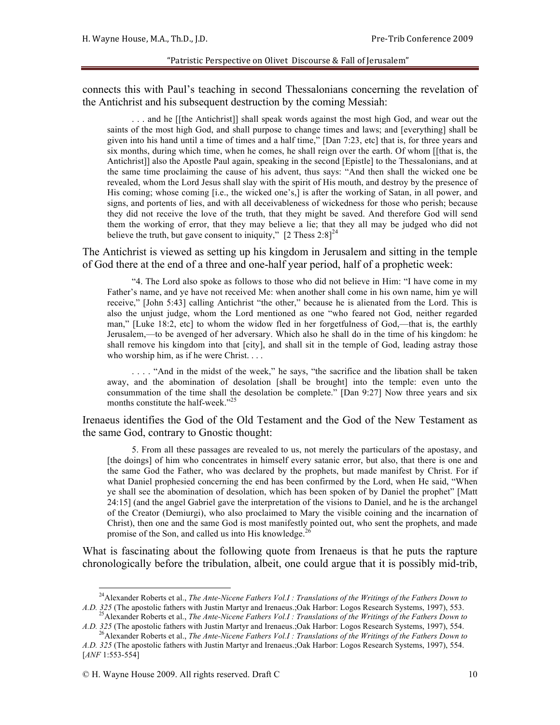connects this with Paul's teaching in second Thessalonians concerning the revelation of the Antichrist and his subsequent destruction by the coming Messiah:

. . . and he [[the Antichrist]] shall speak words against the most high God, and wear out the saints of the most high God, and shall purpose to change times and laws; and [everything] shall be given into his hand until a time of times and a half time," [Dan 7:23, etc] that is, for three years and six months, during which time, when he comes, he shall reign over the earth. Of whom [[that is, the Antichrist]] also the Apostle Paul again, speaking in the second [Epistle] to the Thessalonians, and at the same time proclaiming the cause of his advent, thus says: "And then shall the wicked one be revealed, whom the Lord Jesus shall slay with the spirit of His mouth, and destroy by the presence of His coming; whose coming [i.e., the wicked one's,] is after the working of Satan, in all power, and signs, and portents of lies, and with all deceivableness of wickedness for those who perish; because they did not receive the love of the truth, that they might be saved. And therefore God will send them the working of error, that they may believe a lie; that they all may be judged who did not believe the truth, but gave consent to iniquity,"  $[2 \text{ Thess } 2:8]^{24}$ 

The Antichrist is viewed as setting up his kingdom in Jerusalem and sitting in the temple of God there at the end of a three and one-half year period, half of a prophetic week:

"4. The Lord also spoke as follows to those who did not believe in Him: "I have come in my Father's name, and ye have not received Me: when another shall come in his own name, him ye will receive," [John 5:43] calling Antichrist "the other," because he is alienated from the Lord. This is also the unjust judge, whom the Lord mentioned as one "who feared not God, neither regarded man," [Luke 18:2, etc] to whom the widow fled in her forgetfulness of God,—that is, the earthly Jerusalem,—to be avenged of her adversary. Which also he shall do in the time of his kingdom: he shall remove his kingdom into that [city], and shall sit in the temple of God, leading astray those who worship him, as if he were Christ. . . .

. . . . "And in the midst of the week," he says, "the sacrifice and the libation shall be taken away, and the abomination of desolation [shall be brought] into the temple: even unto the consummation of the time shall the desolation be complete." [Dan 9:27] Now three years and six months constitute the half-week."<sup>25</sup>

Irenaeus identifies the God of the Old Testament and the God of the New Testament as the same God, contrary to Gnostic thought:

5. From all these passages are revealed to us, not merely the particulars of the apostasy, and [the doings] of him who concentrates in himself every satanic error, but also, that there is one and the same God the Father, who was declared by the prophets, but made manifest by Christ. For if what Daniel prophesied concerning the end has been confirmed by the Lord, when He said, "When ye shall see the abomination of desolation, which has been spoken of by Daniel the prophet" [Matt 24:15] (and the angel Gabriel gave the interpretation of the visions to Daniel, and he is the archangel of the Creator (Demiurgi), who also proclaimed to Mary the visible coining and the incarnation of Christ), then one and the same God is most manifestly pointed out, who sent the prophets, and made promise of the Son, and called us into His knowledge.<sup>2</sup>

What is fascinating about the following quote from Irenaeus is that he puts the rapture chronologically before the tribulation, albeit, one could argue that it is possibly mid-trib,

<sup>&</sup>lt;sup>24</sup> Alexander Roberts et al., *The Ante-Nicene Fathers Vol.I*: Translations of the Writings of the Fathers Down to A.D. 325 (The apostolic fathers with Justin Martyr and Irenaeus.; Oak Harbor: Logos Research Systems, 1997), 553.<br><sup>25</sup> Alexander Roberts et al., *The Ante-Nicene Fathers Vol.1*: *Translations of the Writings of the Fathers* 

A.D. 325 (The apostolic fathers with Justin Martyr and Irenaeus.; Oak Harbor: Logos Research Systems, 1997), 554.<br><sup>26</sup> Alexander Roberts et al., *The Ante-Nicene Fathers Vol.I*: *Translations of the Writings of the Fathers* 

*A.D. 325* (The apostolic fathers with Justin Martyr and Irenaeus.;Oak Harbor: Logos Research Systems, 1997), 554. [*ANF* 1:553-554]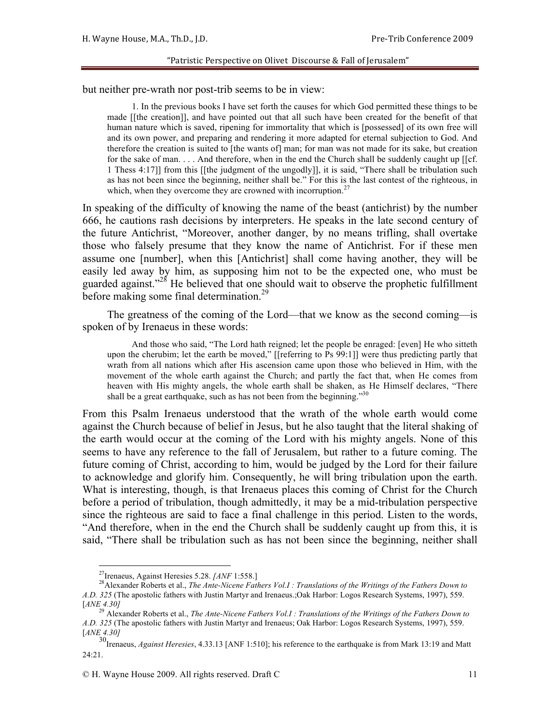but neither pre-wrath nor post-trib seems to be in view:

1. In the previous books I have set forth the causes for which God permitted these things to be made [[the creation]], and have pointed out that all such have been created for the benefit of that human nature which is saved, ripening for immortality that which is [possessed] of its own free will and its own power, and preparing and rendering it more adapted for eternal subjection to God. And therefore the creation is suited to [the wants of] man; for man was not made for its sake, but creation for the sake of man. . . . And therefore, when in the end the Church shall be suddenly caught up [[cf. 1 Thess 4:17]] from this [[the judgment of the ungodly]], it is said, "There shall be tribulation such as has not been since the beginning, neither shall be." For this is the last contest of the righteous, in which, when they overcome they are crowned with incorruption. $27$ 

In speaking of the difficulty of knowing the name of the beast (antichrist) by the number 666, he cautions rash decisions by interpreters. He speaks in the late second century of the future Antichrist, "Moreover, another danger, by no means trifling, shall overtake those who falsely presume that they know the name of Antichrist. For if these men assume one [number], when this [Antichrist] shall come having another, they will be easily led away by him, as supposing him not to be the expected one, who must be guarded against."<sup>28</sup> He believed that one should wait to observe the prophetic fulfillment before making some final determination.<sup>29</sup>

The greatness of the coming of the Lord—that we know as the second coming—is spoken of by Irenaeus in these words:

And those who said, "The Lord hath reigned; let the people be enraged: [even] He who sitteth upon the cherubim; let the earth be moved," [[referring to Ps 99:1]] were thus predicting partly that wrath from all nations which after His ascension came upon those who believed in Him, with the movement of the whole earth against the Church; and partly the fact that, when He comes from heaven with His mighty angels, the whole earth shall be shaken, as He Himself declares, "There shall be a great earthquake, such as has not been from the beginning."<sup>30</sup>

From this Psalm Irenaeus understood that the wrath of the whole earth would come against the Church because of belief in Jesus, but he also taught that the literal shaking of the earth would occur at the coming of the Lord with his mighty angels. None of this seems to have any reference to the fall of Jerusalem, but rather to a future coming. The future coming of Christ, according to him, would be judged by the Lord for their failure to acknowledge and glorify him. Consequently, he will bring tribulation upon the earth. What is interesting, though, is that Irenaeus places this coming of Christ for the Church before a period of tribulation, though admittedly, it may be a mid-tribulation perspective since the righteous are said to face a final challenge in this period. Listen to the words, "And therefore, when in the end the Church shall be suddenly caught up from this, it is said, "There shall be tribulation such as has not been since the beginning, neither shall

<sup>&</sup>lt;sup>27</sup>Irenaeus, Against Heresies 5.28. *[ANF* 1:558.]<br><sup>28</sup>Alexander Roberts et al., *The Ante-Nicene Fathers Vol.I : Translations of the Writings of the Fathers Down to A.D. 325* (The apostolic fathers with Justin Martyr and Irenaeus.;Oak Harbor: Logos Research Systems, 1997), 559. [*ANE 4.30]* 29 Alexander Roberts et al., *The Ante-Nicene Fathers Vol.I : Translations of the Writings of the Fathers Down to* 

*A.D. 325* (The apostolic fathers with Justin Martyr and Irenaeus; Oak Harbor: Logos Research Systems, 1997), 559. [*ANE 4.30]* 

<sup>30</sup>Irenaeus, *Against Heresies*, 4.33.13 [ANF 1:510]; his reference to the earthquake is from Mark 13:19 and Matt 24:21.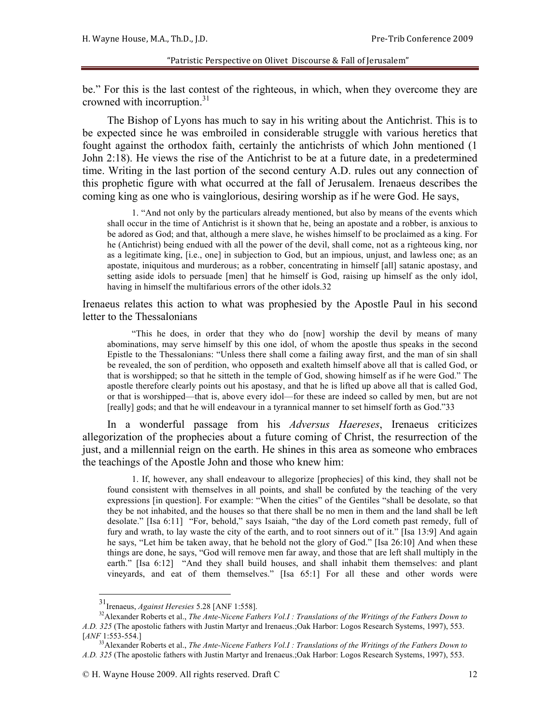be." For this is the last contest of the righteous, in which, when they overcome they are crowned with incorruption. $31$ 

The Bishop of Lyons has much to say in his writing about the Antichrist. This is to be expected since he was embroiled in considerable struggle with various heretics that fought against the orthodox faith, certainly the antichrists of which John mentioned (1 John 2:18). He views the rise of the Antichrist to be at a future date, in a predetermined time. Writing in the last portion of the second century A.D. rules out any connection of this prophetic figure with what occurred at the fall of Jerusalem. Irenaeus describes the coming king as one who is vainglorious, desiring worship as if he were God. He says,

1. "And not only by the particulars already mentioned, but also by means of the events which shall occur in the time of Antichrist is it shown that he, being an apostate and a robber, is anxious to be adored as God; and that, although a mere slave, he wishes himself to be proclaimed as a king. For he (Antichrist) being endued with all the power of the devil, shall come, not as a righteous king, nor as a legitimate king, [i.e., one] in subjection to God, but an impious, unjust, and lawless one; as an apostate, iniquitous and murderous; as a robber, concentrating in himself [all] satanic apostasy, and setting aside idols to persuade [men] that he himself is God, raising up himself as the only idol, having in himself the multifarious errors of the other idols.32

Irenaeus relates this action to what was prophesied by the Apostle Paul in his second letter to the Thessalonians

"This he does, in order that they who do [now] worship the devil by means of many abominations, may serve himself by this one idol, of whom the apostle thus speaks in the second Epistle to the Thessalonians: "Unless there shall come a failing away first, and the man of sin shall be revealed, the son of perdition, who opposeth and exalteth himself above all that is called God, or that is worshipped; so that he sitteth in the temple of God, showing himself as if he were God." The apostle therefore clearly points out his apostasy, and that he is lifted up above all that is called God, or that is worshipped—that is, above every idol—for these are indeed so called by men, but are not [really] gods; and that he will endeavour in a tyrannical manner to set himself forth as God."33

In a wonderful passage from his *Adversus Haereses*, Irenaeus criticizes allegorization of the prophecies about a future coming of Christ, the resurrection of the just, and a millennial reign on the earth. He shines in this area as someone who embraces the teachings of the Apostle John and those who knew him:

1. If, however, any shall endeavour to allegorize [prophecies] of this kind, they shall not be found consistent with themselves in all points, and shall be confuted by the teaching of the very expressions [in question]. For example: "When the cities" of the Gentiles "shall be desolate, so that they be not inhabited, and the houses so that there shall be no men in them and the land shall be left desolate." [Isa 6:11] "For, behold," says Isaiah, "the day of the Lord cometh past remedy, full of fury and wrath, to lay waste the city of the earth, and to root sinners out of it." [Isa 13:9] And again he says, "Let him be taken away, that he behold not the glory of God." [Isa 26:10] And when these things are done, he says, "God will remove men far away, and those that are left shall multiply in the earth." [Isa 6:12] "And they shall build houses, and shall inhabit them themselves: and plant vineyards, and eat of them themselves." [Isa 65:1] For all these and other words were

 <sup>31</sup>Irenaeus, *Against Heresies* 5.28 [ANF 1:558].

<sup>&</sup>lt;sup>32</sup> Alexander Roberts et al., *The Ante-Nicene Fathers Vol.I*: *Translations of the Writings of the Fathers Down to A.D. 325* (The apostolic fathers with Justin Martyr and Irenaeus.;Oak Harbor: Logos Research Systems, 1997), 553.

<sup>[</sup>*ANF* 1:553-554.] 33Alexander Roberts et al., *The Ante-Nicene Fathers Vol.I : Translations of the Writings of the Fathers Down to A.D. 325* (The apostolic fathers with Justin Martyr and Irenaeus.;Oak Harbor: Logos Research Systems, 1997), 553.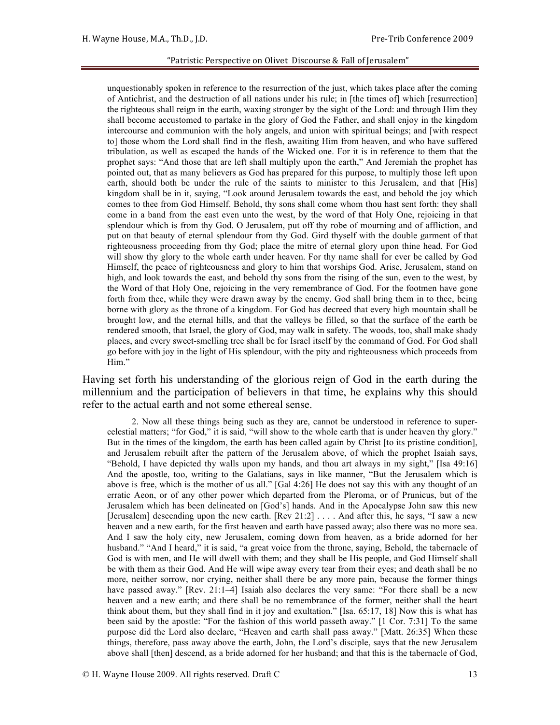unquestionably spoken in reference to the resurrection of the just, which takes place after the coming of Antichrist, and the destruction of all nations under his rule; in [the times of] which [resurrection] the righteous shall reign in the earth, waxing stronger by the sight of the Lord: and through Him they shall become accustomed to partake in the glory of God the Father, and shall enjoy in the kingdom intercourse and communion with the holy angels, and union with spiritual beings; and [with respect to] those whom the Lord shall find in the flesh, awaiting Him from heaven, and who have suffered tribulation, as well as escaped the hands of the Wicked one. For it is in reference to them that the prophet says: "And those that are left shall multiply upon the earth," And Jeremiah the prophet has pointed out, that as many believers as God has prepared for this purpose, to multiply those left upon earth, should both be under the rule of the saints to minister to this Jerusalem, and that [His] kingdom shall be in it, saying, "Look around Jerusalem towards the east, and behold the joy which comes to thee from God Himself. Behold, thy sons shall come whom thou hast sent forth: they shall come in a band from the east even unto the west, by the word of that Holy One, rejoicing in that splendour which is from thy God. O Jerusalem, put off thy robe of mourning and of affliction, and put on that beauty of eternal splendour from thy God. Gird thyself with the double garment of that righteousness proceeding from thy God; place the mitre of eternal glory upon thine head. For God will show thy glory to the whole earth under heaven. For thy name shall for ever be called by God Himself, the peace of righteousness and glory to him that worships God. Arise, Jerusalem, stand on high, and look towards the east, and behold thy sons from the rising of the sun, even to the west, by the Word of that Holy One, rejoicing in the very remembrance of God. For the footmen have gone forth from thee, while they were drawn away by the enemy. God shall bring them in to thee, being borne with glory as the throne of a kingdom. For God has decreed that every high mountain shall be brought low, and the eternal hills, and that the valleys be filled, so that the surface of the earth be rendered smooth, that Israel, the glory of God, may walk in safety. The woods, too, shall make shady places, and every sweet-smelling tree shall be for Israel itself by the command of God. For God shall go before with joy in the light of His splendour, with the pity and righteousness which proceeds from Him."

Having set forth his understanding of the glorious reign of God in the earth during the millennium and the participation of believers in that time, he explains why this should refer to the actual earth and not some ethereal sense.

2. Now all these things being such as they are, cannot be understood in reference to supercelestial matters; "for God," it is said, "will show to the whole earth that is under heaven thy glory." But in the times of the kingdom, the earth has been called again by Christ [to its pristine condition], and Jerusalem rebuilt after the pattern of the Jerusalem above, of which the prophet Isaiah says, "Behold, I have depicted thy walls upon my hands, and thou art always in my sight," [Isa 49:16] And the apostle, too, writing to the Galatians, says in like manner, "But the Jerusalem which is above is free, which is the mother of us all." [Gal 4:26] He does not say this with any thought of an erratic Aeon, or of any other power which departed from the Pleroma, or of Prunicus, but of the Jerusalem which has been delineated on [God's] hands. And in the Apocalypse John saw this new [Jerusalem] descending upon the new earth. [Rev 21:2] . . . . And after this, he says, "I saw a new heaven and a new earth, for the first heaven and earth have passed away; also there was no more sea. And I saw the holy city, new Jerusalem, coming down from heaven, as a bride adorned for her husband." "And I heard," it is said, "a great voice from the throne, saying, Behold, the tabernacle of God is with men, and He will dwell with them; and they shall be His people, and God Himself shall be with them as their God. And He will wipe away every tear from their eyes; and death shall be no more, neither sorrow, nor crying, neither shall there be any more pain, because the former things have passed away." [Rev. 21:1-4] Isaiah also declares the very same: "For there shall be a new heaven and a new earth; and there shall be no remembrance of the former, neither shall the heart think about them, but they shall find in it joy and exultation." [Isa. 65:17, 18] Now this is what has been said by the apostle: "For the fashion of this world passeth away." [1 Cor. 7:31] To the same purpose did the Lord also declare, "Heaven and earth shall pass away." [Matt. 26:35] When these things, therefore, pass away above the earth, John, the Lord's disciple, says that the new Jerusalem above shall [then] descend, as a bride adorned for her husband; and that this is the tabernacle of God,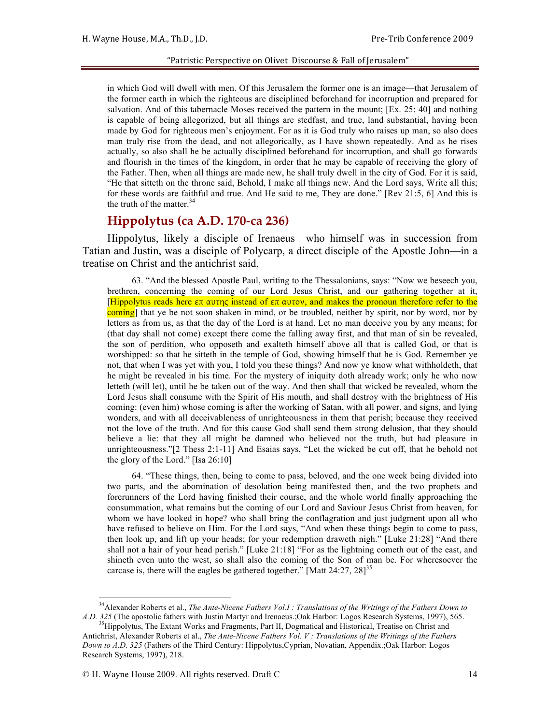in which God will dwell with men. Of this Jerusalem the former one is an image—that Jerusalem of the former earth in which the righteous are disciplined beforehand for incorruption and prepared for salvation. And of this tabernacle Moses received the pattern in the mount; [Ex. 25: 40] and nothing is capable of being allegorized, but all things are stedfast, and true, land substantial, having been made by God for righteous men's enjoyment. For as it is God truly who raises up man, so also does man truly rise from the dead, and not allegorically, as I have shown repeatedly. And as he rises actually, so also shall he be actually disciplined beforehand for incorruption, and shall go forwards and flourish in the times of the kingdom, in order that he may be capable of receiving the glory of the Father. Then, when all things are made new, he shall truly dwell in the city of God. For it is said, "He that sitteth on the throne said, Behold, I make all things new. And the Lord says, Write all this; for these words are faithful and true. And He said to me, They are done." [Rev 21:5, 6] And this is the truth of the matter. $34$ 

### **Hippolytus (ca A.D. 170-ca 236)**

Hippolytus, likely a disciple of Irenaeus—who himself was in succession from Tatian and Justin, was a disciple of Polycarp, a direct disciple of the Apostle John—in a treatise on Christ and the antichrist said,

63. "And the blessed Apostle Paul, writing to the Thessalonians, says: "Now we beseech you, brethren, concerning the coming of our Lord Jesus Christ, and our gathering together at it,  $\left[\frac{\text{Hippolytus reads here}}{\text{Hippolytus reads here}}\right]$  instead of  $\epsilon\pi$  αυτον, and makes the pronoun therefore refer to the coming] that ye be not soon shaken in mind, or be troubled, neither by spirit, nor by word, nor by letters as from us, as that the day of the Lord is at hand. Let no man deceive you by any means; for (that day shall not come) except there come the falling away first, and that man of sin be revealed, the son of perdition, who opposeth and exalteth himself above all that is called God, or that is worshipped: so that he sitteth in the temple of God, showing himself that he is God. Remember ye not, that when I was yet with you, I told you these things? And now ye know what withholdeth, that he might be revealed in his time. For the mystery of iniquity doth already work; only he who now letteth (will let), until he be taken out of the way. And then shall that wicked be revealed, whom the Lord Jesus shall consume with the Spirit of His mouth, and shall destroy with the brightness of His coming: (even him) whose coming is after the working of Satan, with all power, and signs, and lying wonders, and with all deceivableness of unrighteousness in them that perish; because they received not the love of the truth. And for this cause God shall send them strong delusion, that they should believe a lie: that they all might be damned who believed not the truth, but had pleasure in unrighteousness."[2 Thess 2:1-11] And Esaias says, "Let the wicked be cut off, that he behold not the glory of the Lord." [Isa 26:10]

64. "These things, then, being to come to pass, beloved, and the one week being divided into two parts, and the abomination of desolation being manifested then, and the two prophets and forerunners of the Lord having finished their course, and the whole world finally approaching the consummation, what remains but the coming of our Lord and Saviour Jesus Christ from heaven, for whom we have looked in hope? who shall bring the conflagration and just judgment upon all who have refused to believe on Him. For the Lord says, "And when these things begin to come to pass, then look up, and lift up your heads; for your redemption draweth nigh." [Luke 21:28] "And there shall not a hair of your head perish." [Luke 21:18] "For as the lightning cometh out of the east, and shineth even unto the west, so shall also the coming of the Son of man be. For wheresoever the carcase is, there will the eagles be gathered together." [Matt 24:27, 28]<sup>35</sup>

 <sup>34</sup>Alexander Roberts et al., *The Ante-Nicene Fathers Vol.I : Translations of the Writings of the Fathers Down to A.D. 325* (The apostolic fathers with Justin Martyr and Irenaeus.;Oak Harbor: Logos Research Systems, 1997), 565. <sup>35</sup>Hippolytus, The Extant Works and Fragments, Part II, Dogmatical and Historical, Treatise on Christ and

Antichrist, Alexander Roberts et al., *The Ante-Nicene Fathers Vol. V : Translations of the Writings of the Fathers Down to A.D. 325* (Fathers of the Third Century: Hippolytus,Cyprian, Novatian, Appendix.;Oak Harbor: Logos Research Systems, 1997), 218.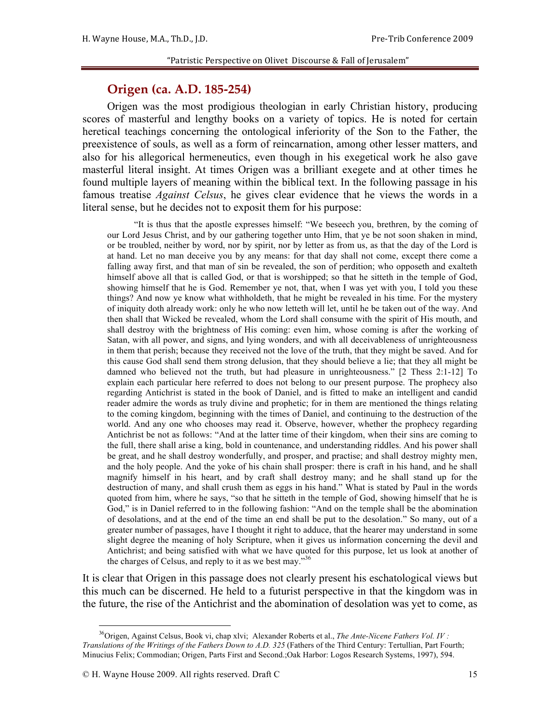## **Origen (ca. A.D. 185-254)**

Origen was the most prodigious theologian in early Christian history, producing scores of masterful and lengthy books on a variety of topics. He is noted for certain heretical teachings concerning the ontological inferiority of the Son to the Father, the preexistence of souls, as well as a form of reincarnation, among other lesser matters, and also for his allegorical hermeneutics, even though in his exegetical work he also gave masterful literal insight. At times Origen was a brilliant exegete and at other times he found multiple layers of meaning within the biblical text. In the following passage in his famous treatise *Against Celsus*, he gives clear evidence that he views the words in a literal sense, but he decides not to exposit them for his purpose:

"It is thus that the apostle expresses himself: "We beseech you, brethren, by the coming of our Lord Jesus Christ, and by our gathering together unto Him, that ye be not soon shaken in mind, or be troubled, neither by word, nor by spirit, nor by letter as from us, as that the day of the Lord is at hand. Let no man deceive you by any means: for that day shall not come, except there come a falling away first, and that man of sin be revealed, the son of perdition; who opposeth and exalteth himself above all that is called God, or that is worshipped; so that he sitteth in the temple of God, showing himself that he is God. Remember ye not, that, when I was yet with you, I told you these things? And now ye know what withholdeth, that he might be revealed in his time. For the mystery of iniquity doth already work: only he who now letteth will let, until he be taken out of the way. And then shall that Wicked be revealed, whom the Lord shall consume with the spirit of His mouth, and shall destroy with the brightness of His coming: even him, whose coming is after the working of Satan, with all power, and signs, and lying wonders, and with all deceivableness of unrighteousness in them that perish; because they received not the love of the truth, that they might be saved. And for this cause God shall send them strong delusion, that they should believe a lie; that they all might be damned who believed not the truth, but had pleasure in unrighteousness." [2 Thess 2:1-12] To explain each particular here referred to does not belong to our present purpose. The prophecy also regarding Antichrist is stated in the book of Daniel, and is fitted to make an intelligent and candid reader admire the words as truly divine and prophetic; for in them are mentioned the things relating to the coming kingdom, beginning with the times of Daniel, and continuing to the destruction of the world. And any one who chooses may read it. Observe, however, whether the prophecy regarding Antichrist be not as follows: "And at the latter time of their kingdom, when their sins are coming to the full, there shall arise a king, bold in countenance, and understanding riddles. And his power shall be great, and he shall destroy wonderfully, and prosper, and practise; and shall destroy mighty men, and the holy people. And the yoke of his chain shall prosper: there is craft in his hand, and he shall magnify himself in his heart, and by craft shall destroy many; and he shall stand up for the destruction of many, and shall crush them as eggs in his hand." What is stated by Paul in the words quoted from him, where he says, "so that he sitteth in the temple of God, showing himself that he is God," is in Daniel referred to in the following fashion: "And on the temple shall be the abomination of desolations, and at the end of the time an end shall be put to the desolation." So many, out of a greater number of passages, have I thought it right to adduce, that the hearer may understand in some slight degree the meaning of holy Scripture, when it gives us information concerning the devil and Antichrist; and being satisfied with what we have quoted for this purpose, let us look at another of the charges of Celsus, and reply to it as we best may."<sup>36</sup>

It is clear that Origen in this passage does not clearly present his eschatological views but this much can be discerned. He held to a futurist perspective in that the kingdom was in the future, the rise of the Antichrist and the abomination of desolation was yet to come, as

<sup>&</sup>lt;sup>36</sup>Origen, Against Celsus, Book vi, chap xlvi; Alexander Roberts et al., *The Ante-Nicene Fathers Vol. IV : Translations of the Writings of the Fathers Down to A.D. 325* (Fathers of the Third Century: Tertullian, Part Fourth; Minucius Felix; Commodian; Origen, Parts First and Second.;Oak Harbor: Logos Research Systems, 1997), 594.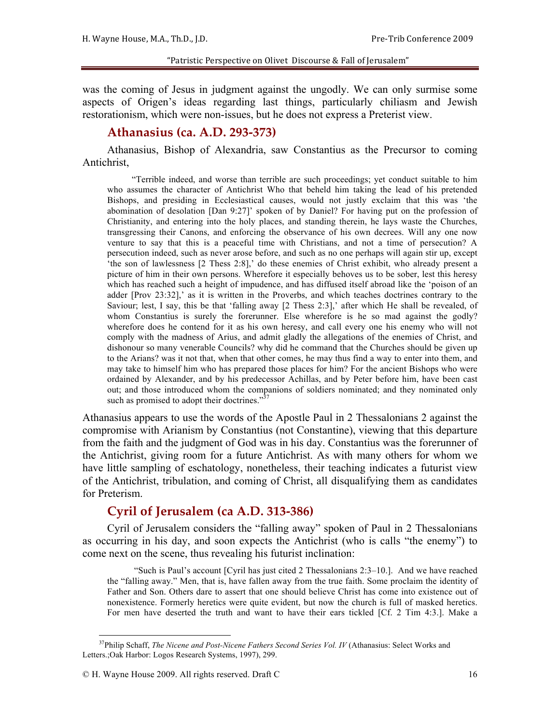was the coming of Jesus in judgment against the ungodly. We can only surmise some aspects of Origen's ideas regarding last things, particularly chiliasm and Jewish restorationism, which were non-issues, but he does not express a Preterist view.

## **Athanasius (ca. A.D. 293-373)**

Athanasius, Bishop of Alexandria, saw Constantius as the Precursor to coming Antichrist,

"Terrible indeed, and worse than terrible are such proceedings; yet conduct suitable to him who assumes the character of Antichrist Who that beheld him taking the lead of his pretended Bishops, and presiding in Ecclesiastical causes, would not justly exclaim that this was 'the abomination of desolation [Dan 9:27]' spoken of by Daniel? For having put on the profession of Christianity, and entering into the holy places, and standing therein, he lays waste the Churches, transgressing their Canons, and enforcing the observance of his own decrees. Will any one now venture to say that this is a peaceful time with Christians, and not a time of persecution? A persecution indeed, such as never arose before, and such as no one perhaps will again stir up, except 'the son of lawlessness [2 Thess 2:8],' do these enemies of Christ exhibit, who already present a picture of him in their own persons. Wherefore it especially behoves us to be sober, lest this heresy which has reached such a height of impudence, and has diffused itself abroad like the 'poison of an adder [Prov 23:32],' as it is written in the Proverbs, and which teaches doctrines contrary to the Saviour; lest, I say, this be that 'falling away [2 Thess 2:3],' after which He shall be revealed, of whom Constantius is surely the forerunner. Else wherefore is he so mad against the godly? wherefore does he contend for it as his own heresy, and call every one his enemy who will not comply with the madness of Arius, and admit gladly the allegations of the enemies of Christ, and dishonour so many venerable Councils? why did he command that the Churches should be given up to the Arians? was it not that, when that other comes, he may thus find a way to enter into them, and may take to himself him who has prepared those places for him? For the ancient Bishops who were ordained by Alexander, and by his predecessor Achillas, and by Peter before him, have been cast out; and those introduced whom the companions of soldiers nominated; and they nominated only such as promised to adopt their doctrines."<sup>37</sup>

Athanasius appears to use the words of the Apostle Paul in 2 Thessalonians 2 against the compromise with Arianism by Constantius (not Constantine), viewing that this departure from the faith and the judgment of God was in his day. Constantius was the forerunner of the Antichrist, giving room for a future Antichrist. As with many others for whom we have little sampling of eschatology, nonetheless, their teaching indicates a futurist view of the Antichrist, tribulation, and coming of Christ, all disqualifying them as candidates for Preterism.

## **Cyril of Jerusalem (ca A.D. 313-386)**

Cyril of Jerusalem considers the "falling away" spoken of Paul in 2 Thessalonians as occurring in his day, and soon expects the Antichrist (who is calls "the enemy") to come next on the scene, thus revealing his futurist inclination:

 "Such is Paul's account [Cyril has just cited 2 Thessalonians 2:3–10.]. And we have reached the "falling away." Men, that is, have fallen away from the true faith. Some proclaim the identity of Father and Son. Others dare to assert that one should believe Christ has come into existence out of nonexistence. Formerly heretics were quite evident, but now the church is full of masked heretics. For men have deserted the truth and want to have their ears tickled [Cf. 2 Tim 4:3.]. Make a

 <sup>37</sup>Philip Schaff, *The Nicene and Post-Nicene Fathers Second Series Vol. IV* (Athanasius: Select Works and Letters.;Oak Harbor: Logos Research Systems, 1997), 299.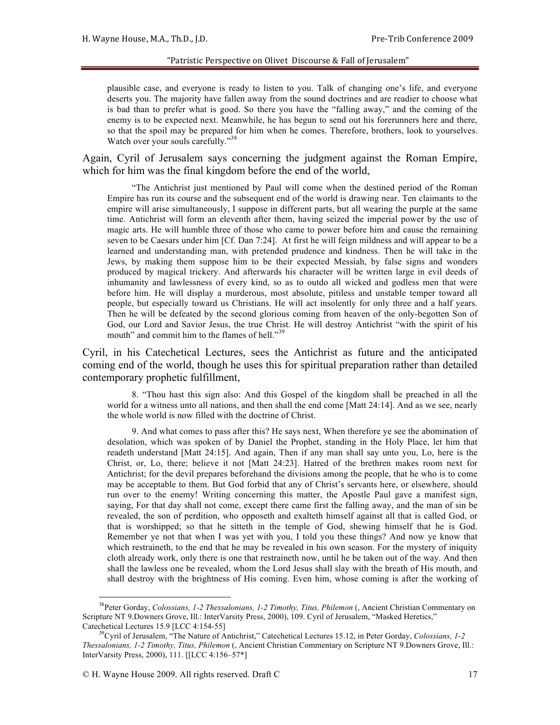plausible case, and everyone is ready to listen to you. Talk of changing one's life, and everyone deserts you. The majority have fallen away from the sound doctrines and are readier to choose what is bad than to prefer what is good. So there you have the "falling away," and the coming of the enemy is to be expected next. Meanwhile, he has begun to send out his forerunners here and there, so that the spoil may be prepared for him when he comes. Therefore, brothers, look to yourselves. Watch over your souls carefully."<sup>38</sup>

Again, Cyril of Jerusalem says concerning the judgment against the Roman Empire, which for him was the final kingdom before the end of the world,

"The Antichrist just mentioned by Paul will come when the destined period of the Roman Empire has run its course and the subsequent end of the world is drawing near. Ten claimants to the empire will arise simultaneously, I suppose in different parts, but all wearing the purple at the same time. Antichrist will form an eleventh after them, having seized the imperial power by the use of magic arts. He will humble three of those who came to power before him and cause the remaining seven to be Caesars under him [Cf. Dan 7:24]. At first he will feign mildness and will appear to be a learned and understanding man, with pretended prudence and kindness. Then he will take in the Jews, by making them suppose him to be their expected Messiah, by false signs and wonders produced by magical trickery. And afterwards his character will be written large in evil deeds of inhumanity and lawlessness of every kind, so as to outdo all wicked and godless men that were before him. He will display a murderous, most absolute, pitiless and unstable temper toward all people, but especially toward us Christians. He will act insolently for only three and a half years. Then he will be defeated by the second glorious coming from heaven of the only-begotten Son of God, our Lord and Savior Jesus, the true Christ. He will destroy Antichrist "with the spirit of his mouth" and commit him to the flames of hell."<sup>39</sup>

Cyril, in his Catechetical Lectures, sees the Antichrist as future and the anticipated coming end of the world, though he uses this for spiritual preparation rather than detailed contemporary prophetic fulfillment,

8. "Thou hast this sign also: And this Gospel of the kingdom shall be preached in all the world for a witness unto all nations, and then shall the end come [Matt 24:14]. And as we see, nearly the whole world is now filled with the doctrine of Christ.

9. And what comes to pass after this? He says next, When therefore ye see the abomination of desolation, which was spoken of by Daniel the Prophet, standing in the Holy Place, let him that readeth understand [Matt 24:15]. And again, Then if any man shall say unto you, Lo, here is the Christ, or, Lo, there; believe it not [Matt 24:23]. Hatred of the brethren makes room next for Antichrist; for the devil prepares beforehand the divisions among the people, that he who is to come may be acceptable to them. But God forbid that any of Christ's servants here, or elsewhere, should run over to the enemy! Writing concerning this matter, the Apostle Paul gave a manifest sign, saying, For that day shall not come, except there came first the falling away, and the man of sin be revealed, the son of perdition, who opposeth and exalteth himself against all that is called God, or that is worshipped; so that he sitteth in the temple of God, shewing himself that he is God. Remember ye not that when I was yet with you, I told you these things? And now ye know that which restraineth, to the end that he may be revealed in his own season. For the mystery of iniquity cloth already work, only there is one that restraineth now, until he be taken out of the way. And then shall the lawless one be revealed, whom the Lord Jesus shall slay with the breath of His mouth, and shall destroy with the brightness of His coming. Even him, whose coming is after the working of

 <sup>38</sup>Peter Gorday, *Colossians, 1-2 Thessalonians, 1-2 Timothy, Titus, Philemon* (, Ancient Christian Commentary on Scripture NT 9.Downers Grove, Ill.: InterVarsity Press, 2000), 109. Cyril of Jerusalem, "Masked Heretics,"

Catechetical Lectures 15.9 [LCC 4:154-55] 39Cyril of Jerusalem, "The Nature of Antichrist," Catechetical Lectures 15.12, in Peter Gorday, *Colossians, 1-2 Thessalonians, 1-2 Timothy, Titus, Philemon* (, Ancient Christian Commentary on Scripture NT 9.Downers Grove, Ill.: InterVarsity Press, 2000), 111. [[LCC 4:156–57\*]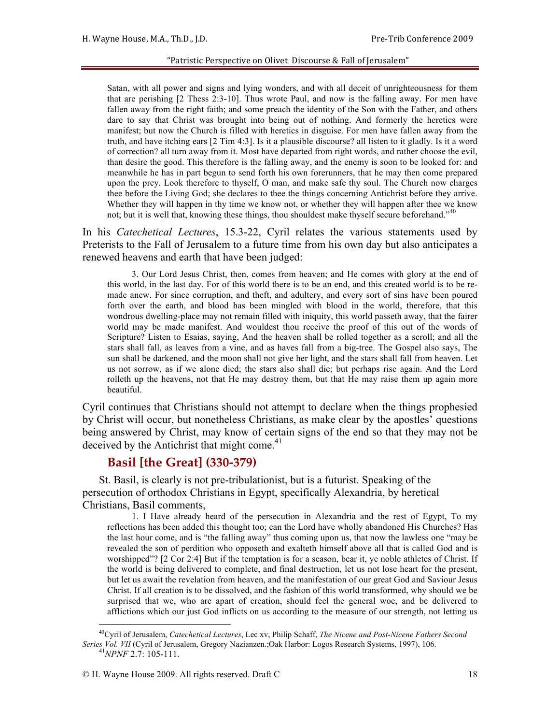Satan, with all power and signs and lying wonders, and with all deceit of unrighteousness for them that are perishing [2 Thess 2:3-10]. Thus wrote Paul, and now is the falling away. For men have fallen away from the right faith; and some preach the identity of the Son with the Father, and others dare to say that Christ was brought into being out of nothing. And formerly the heretics were manifest; but now the Church is filled with heretics in disguise. For men have fallen away from the truth, and have itching ears [2 Tim 4:3]. Is it a plausible discourse? all listen to it gladly. Is it a word of correction? all turn away from it. Most have departed from right words, and rather choose the evil, than desire the good. This therefore is the falling away, and the enemy is soon to be looked for: and meanwhile he has in part begun to send forth his own forerunners, that he may then come prepared upon the prey. Look therefore to thyself, O man, and make safe thy soul. The Church now charges thee before the Living God; she declares to thee the things concerning Antichrist before they arrive. Whether they will happen in thy time we know not, or whether they will happen after thee we know not; but it is well that, knowing these things, thou shouldest make thyself secure beforehand."<sup>40</sup>

In his *Catechetical Lectures*, 15.3-22, Cyril relates the various statements used by Preterists to the Fall of Jerusalem to a future time from his own day but also anticipates a renewed heavens and earth that have been judged:

3. Our Lord Jesus Christ, then, comes from heaven; and He comes with glory at the end of this world, in the last day. For of this world there is to be an end, and this created world is to be remade anew. For since corruption, and theft, and adultery, and every sort of sins have been poured forth over the earth, and blood has been mingled with blood in the world, therefore, that this wondrous dwelling-place may not remain filled with iniquity, this world passeth away, that the fairer world may be made manifest. And wouldest thou receive the proof of this out of the words of Scripture? Listen to Esaias, saying, And the heaven shall be rolled together as a scroll; and all the stars shall fall, as leaves from a vine, and as haves fall from a big-tree. The Gospel also says, The sun shall be darkened, and the moon shall not give her light, and the stars shall fall from heaven. Let us not sorrow, as if we alone died; the stars also shall die; but perhaps rise again. And the Lord rolleth up the heavens, not that He may destroy them, but that He may raise them up again more beautiful.

Cyril continues that Christians should not attempt to declare when the things prophesied by Christ will occur, but nonetheless Christians, as make clear by the apostles' questions being answered by Christ, may know of certain signs of the end so that they may not be deceived by the Antichrist that might come. $41$ 

### **Basil [the Great] (330-379)**

St. Basil, is clearly is not pre-tribulationist, but is a futurist. Speaking of the persecution of orthodox Christians in Egypt, specifically Alexandria, by heretical Christians, Basil comments,

1. I Have already heard of the persecution in Alexandria and the rest of Egypt, To my reflections has been added this thought too; can the Lord have wholly abandoned His Churches? Has the last hour come, and is "the falling away" thus coming upon us, that now the lawless one "may be revealed the son of perdition who opposeth and exalteth himself above all that is called God and is worshipped"? [2 Cor 2:4] But if the temptation is for a season, bear it, ye noble athletes of Christ. If the world is being delivered to complete, and final destruction, let us not lose heart for the present, but let us await the revelation from heaven, and the manifestation of our great God and Saviour Jesus Christ. If all creation is to be dissolved, and the fashion of this world transformed, why should we be surprised that we, who are apart of creation, should feel the general woe, and be delivered to afflictions which our just God inflicts on us according to the measure of our strength, not letting us

 <sup>40</sup>Cyril of Jerusalem, *Catechetical Lectures*, Lec xv, Philip Schaff, *The Nicene and Post-Nicene Fathers Second Series Vol. VII* (Cyril of Jerusalem, Gregory Nazianzen.;Oak Harbor: Logos Research Systems, 1997), 106. <sup>41</sup>*NPNF* 2.7: 105-111.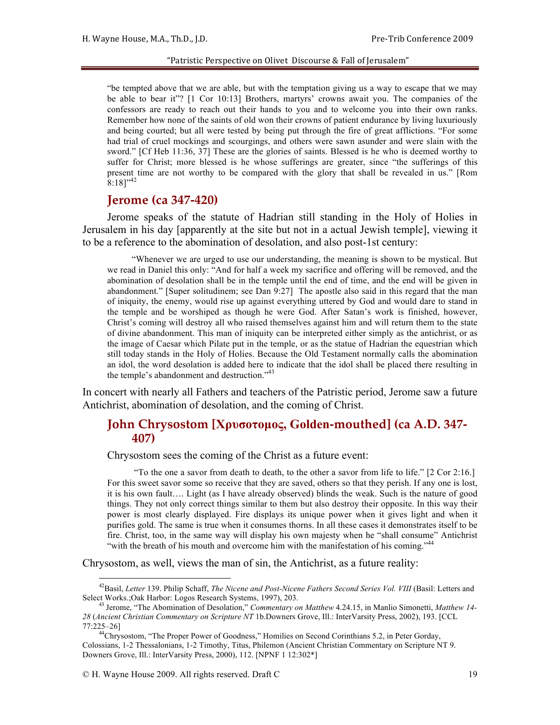"be tempted above that we are able, but with the temptation giving us a way to escape that we may be able to bear it"? [1 Cor 10:13] Brothers, martyrs' crowns await you. The companies of the confessors are ready to reach out their hands to you and to welcome you into their own ranks. Remember how none of the saints of old won their crowns of patient endurance by living luxuriously and being courted; but all were tested by being put through the fire of great afflictions. "For some had trial of cruel mockings and scourgings, and others were sawn asunder and were slain with the sword." [Cf Heb 11:36, 37] These are the glories of saints. Blessed is he who is deemed worthy to suffer for Christ; more blessed is he whose sufferings are greater, since "the sufferings of this present time are not worthy to be compared with the glory that shall be revealed in us." [Rom  $8:18$ ]"<sup>42</sup>

### **Jerome (ca 347-420)**

Jerome speaks of the statute of Hadrian still standing in the Holy of Holies in Jerusalem in his day [apparently at the site but not in a actual Jewish temple], viewing it to be a reference to the abomination of desolation, and also post-1st century:

"Whenever we are urged to use our understanding, the meaning is shown to be mystical. But we read in Daniel this only: "And for half a week my sacrifice and offering will be removed, and the abomination of desolation shall be in the temple until the end of time, and the end will be given in abandonment." [Super solitudinem; see Dan 9:27] The apostle also said in this regard that the man of iniquity, the enemy, would rise up against everything uttered by God and would dare to stand in the temple and be worshiped as though he were God. After Satan's work is finished, however, Christ's coming will destroy all who raised themselves against him and will return them to the state of divine abandonment. This man of iniquity can be interpreted either simply as the antichrist, or as the image of Caesar which Pilate put in the temple, or as the statue of Hadrian the equestrian which still today stands in the Holy of Holies. Because the Old Testament normally calls the abomination an idol, the word desolation is added here to indicate that the idol shall be placed there resulting in the temple's abandonment and destruction."<sup>43</sup>

In concert with nearly all Fathers and teachers of the Patristic period, Jerome saw a future Antichrist, abomination of desolation, and the coming of Christ.

### **John Chrysostom [Χρυσοτοµος, Golden-mouthed] (ca A.D. 347- 407)**

Chrysostom sees the coming of the Christ as a future event:

 "To the one a savor from death to death, to the other a savor from life to life." [2 Cor 2:16.] For this sweet savor some so receive that they are saved, others so that they perish. If any one is lost, it is his own fault…. Light (as I have already observed) blinds the weak. Such is the nature of good things. They not only correct things similar to them but also destroy their opposite. In this way their power is most clearly displayed. Fire displays its unique power when it gives light and when it purifies gold. The same is true when it consumes thorns. In all these cases it demonstrates itself to be fire. Christ, too, in the same way will display his own majesty when he "shall consume" Antichrist "with the breath of his mouth and overcome him with the manifestation of his coming."<sup>44</sup>

Chrysostom, as well, views the man of sin, the Antichrist, as a future reality:

 <sup>42</sup>Basil, *Letter* 139. Philip Schaff, *The Nicene and Post-Nicene Fathers Second Series Vol. VIII* (Basil: Letters and Select Works.;Oak Harbor: Logos Research Systems, 1997), 203. <sup>43</sup> Jerome, "The Abomination of Desolation," *Commentary on Matthew* 4.24.15, in Manlio Simonetti, *Matthew 14-*

*<sup>28</sup>* (*Ancient Christian Commentary on Scripture NT* 1b.Downers Grove, Ill.: InterVarsity Press, 2002), 193. [CCL

<sup>77:225–26]</sup> 44Chrysostom, "The Proper Power of Goodness," Homilies on Second Corinthians 5.2, in Peter Gorday, Colossians, 1-2 Thessalonians, 1-2 Timothy, Titus, Philemon (Ancient Christian Commentary on Scripture NT 9. Downers Grove, Ill.: InterVarsity Press, 2000), 112. [NPNF 1 12:302\*]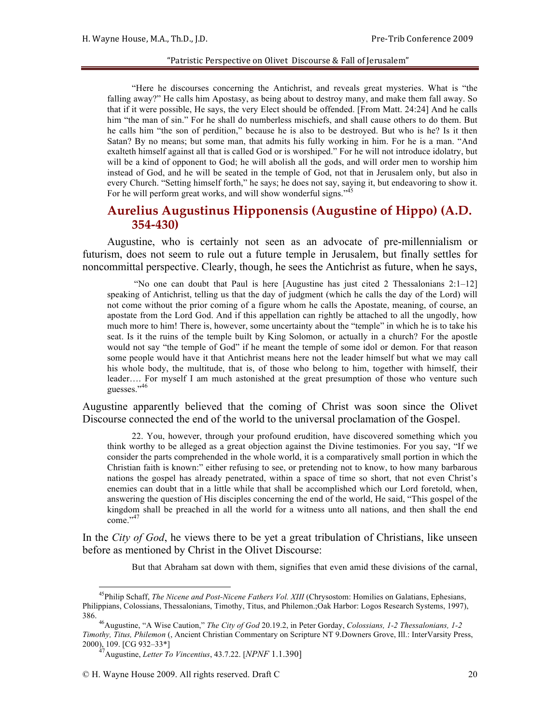"Here he discourses concerning the Antichrist, and reveals great mysteries. What is "the falling away?" He calls him Apostasy, as being about to destroy many, and make them fall away. So that if it were possible, He says, the very Elect should be offended. [From Matt. 24:24] And he calls him "the man of sin." For he shall do numberless mischiefs, and shall cause others to do them. But he calls him "the son of perdition," because he is also to be destroyed. But who is he? Is it then Satan? By no means; but some man, that admits his fully working in him. For he is a man. "And exalteth himself against all that is called God or is worshiped." For he will not introduce idolatry, but will be a kind of opponent to God; he will abolish all the gods, and will order men to worship him instead of God, and he will be seated in the temple of God, not that in Jerusalem only, but also in every Church. "Setting himself forth," he says; he does not say, saying it, but endeavoring to show it. For he will perform great works, and will show wonderful signs."<sup>45</sup>

## **Aurelius Augustinus Hipponensis (Augustine of Hippo) (A.D. 354-430)**

Augustine, who is certainly not seen as an advocate of pre-millennialism or futurism, does not seem to rule out a future temple in Jerusalem, but finally settles for noncommittal perspective. Clearly, though, he sees the Antichrist as future, when he says,

"No one can doubt that Paul is here [Augustine has just cited 2 Thessalonians 2:1–12] speaking of Antichrist, telling us that the day of judgment (which he calls the day of the Lord) will not come without the prior coming of a figure whom he calls the Apostate, meaning, of course, an apostate from the Lord God. And if this appellation can rightly be attached to all the ungodly, how much more to him! There is, however, some uncertainty about the "temple" in which he is to take his seat. Is it the ruins of the temple built by King Solomon, or actually in a church? For the apostle would not say "the temple of God" if he meant the temple of some idol or demon. For that reason some people would have it that Antichrist means here not the leader himself but what we may call his whole body, the multitude, that is, of those who belong to him, together with himself, their leader…. For myself I am much astonished at the great presumption of those who venture such guesses."<sup>46</sup>

Augustine apparently believed that the coming of Christ was soon since the Olivet Discourse connected the end of the world to the universal proclamation of the Gospel.

22. You, however, through your profound erudition, have discovered something which you think worthy to be alleged as a great objection against the Divine testimonies. For you say, "If we consider the parts comprehended in the whole world, it is a comparatively small portion in which the Christian faith is known:" either refusing to see, or pretending not to know, to how many barbarous nations the gospel has already penetrated, within a space of time so short, that not even Christ's enemies can doubt that in a little while that shall be accomplished which our Lord foretold, when, answering the question of His disciples concerning the end of the world, He said, "This gospel of the kingdom shall be preached in all the world for a witness unto all nations, and then shall the end come."<sup>47</sup>

In the *City of God*, he views there to be yet a great tribulation of Christians, like unseen before as mentioned by Christ in the Olivet Discourse:

But that Abraham sat down with them, signifies that even amid these divisions of the carnal,

 <sup>45</sup>Philip Schaff, *The Nicene and Post-Nicene Fathers Vol. XIII* (Chrysostom: Homilies on Galatians, Ephesians, Philippians, Colossians, Thessalonians, Timothy, Titus, and Philemon.;Oak Harbor: Logos Research Systems, 1997), 386.

<sup>46</sup>Augustine, "A Wise Caution," *The City of God* 20.19.2, in Peter Gorday, *Colossians, 1-2 Thessalonians, 1-2 Timothy, Titus, Philemon* (, Ancient Christian Commentary on Scripture NT 9.Downers Grove, Ill.: InterVarsity Press, 2000), 109. [CG 932–33\*] 47Augustine, *Letter To Vincentius*, 43.7.22. [*NPNF* 1.1.390]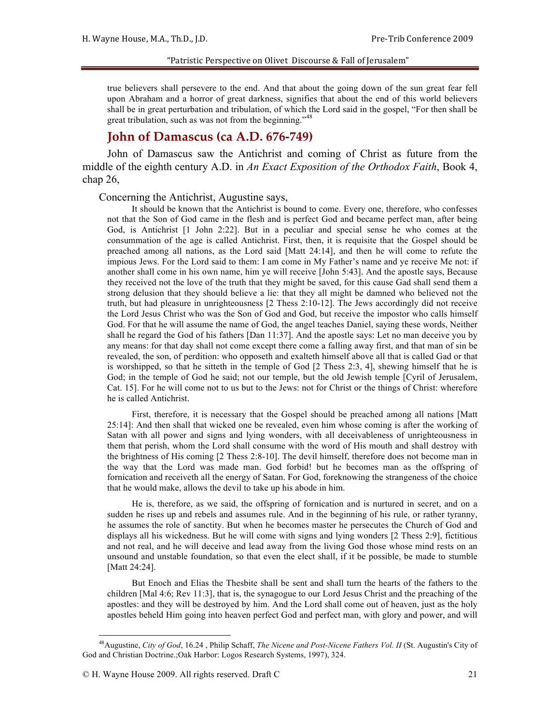true believers shall persevere to the end. And that about the going down of the sun great fear fell upon Abraham and a horror of great darkness, signifies that about the end of this world believers shall be in great perturbation and tribulation, of which the Lord said in the gospel, "For then shall be great tribulation, such as was not from the beginning."<sup>48</sup>

### **John of Damascus (ca A.D. 676-749)**

John of Damascus saw the Antichrist and coming of Christ as future from the middle of the eighth century A.D. in *An Exact Exposition of the Orthodox Faith*, Book 4, chap 26,

Concerning the Antichrist, Augustine says,

It should be known that the Antichrist is bound to come. Every one, therefore, who confesses not that the Son of God came in the flesh and is perfect God and became perfect man, after being God, is Antichrist [1 John 2:22]. But in a peculiar and special sense he who comes at the consummation of the age is called Antichrist. First, then, it is requisite that the Gospel should be preached among all nations, as the Lord said [Matt 24:14], and then he will come to refute the impious Jews. For the Lord said to them: I am come in My Father's name and ye receive Me not: if another shall come in his own name, him ye will receive [John 5:43]. And the apostle says, Because they received not the love of the truth that they might be saved, for this cause Gad shall send them a strong delusion that they should believe a lie: that they all might be damned who believed not the truth, but had pleasure in unrighteousness [2 Thess 2:10-12]. The Jews accordingly did not receive the Lord Jesus Christ who was the Son of God and God, but receive the impostor who calls himself God. For that he will assume the name of God, the angel teaches Daniel, saying these words, Neither shall he regard the God of his fathers [Dan 11:37]. And the apostle says: Let no man deceive you by any means: for that day shall not come except there come a falling away first, and that man of sin be revealed, the son, of perdition: who opposeth and exalteth himself above all that is called Gad or that is worshipped, so that he sitteth in the temple of God [2 Thess 2:3, 4], shewing himself that he is God; in the temple of God he said; not our temple, but the old Jewish temple [Cyril of Jerusalem, Cat. 15]. For he will come not to us but to the Jews: not for Christ or the things of Christ: wherefore he is called Antichrist.

First, therefore, it is necessary that the Gospel should be preached among all nations [Matt 25:14]: And then shall that wicked one be revealed, even him whose coming is after the working of Satan with all power and signs and lying wonders, with all deceivableness of unrighteousness in them that perish, whom the Lord shall consume with the word of His mouth and shall destroy with the brightness of His coming [2 Thess 2:8-10]. The devil himself, therefore does not become man in the way that the Lord was made man. God forbid! but he becomes man as the offspring of fornication and receiveth all the energy of Satan. For God, foreknowing the strangeness of the choice that he would make, allows the devil to take up his abode in him.

He is, therefore, as we said, the offspring of fornication and is nurtured in secret, and on a sudden he rises up and rebels and assumes rule. And in the beginning of his rule, or rather tyranny, he assumes the role of sanctity. But when he becomes master he persecutes the Church of God and displays all his wickedness. But he will come with signs and lying wonders [2 Thess 2:9], fictitious and not real, and he will deceive and lead away from the living God those whose mind rests on an unsound and unstable foundation, so that even the elect shall, if it be possible, be made to stumble [Matt 24:24].

But Enoch and Elias the Thesbite shall be sent and shall turn the hearts of the fathers to the children [Mal 4:6; Rev 11:3], that is, the synagogue to our Lord Jesus Christ and the preaching of the apostles: and they will be destroyed by him. And the Lord shall come out of heaven, just as the holy apostles beheld Him going into heaven perfect God and perfect man, with glory and power, and will

 <sup>48</sup>Augustine, *City of God*, 16.24 , Philip Schaff, *The Nicene and Post-Nicene Fathers Vol. II* (St. Augustin's City of God and Christian Doctrine.;Oak Harbor: Logos Research Systems, 1997), 324.